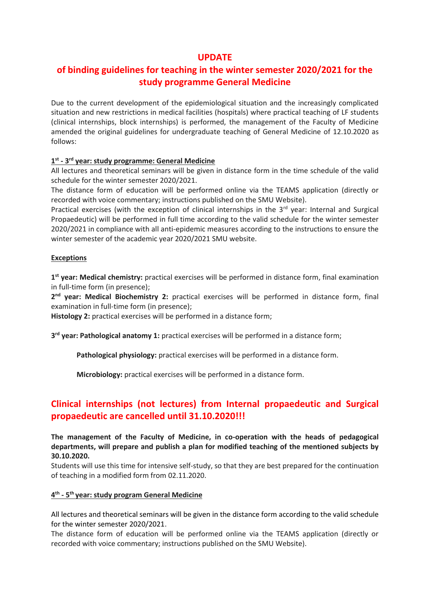## **UPDATE**

## **of binding guidelines for teaching in the winter semester 2020/2021 for the study programme General Medicine**

Due to the current development of the epidemiological situation and the increasingly complicated situation and new restrictions in medical facilities (hospitals) where practical teaching of LF students (clinical internships, block internships) is performed, the management of the Faculty of Medicine amended the original guidelines for undergraduate teaching of General Medicine of 12.10.2020 as follows:

### **1 st - 3 rd year: study programme: General Medicine**

All lectures and theoretical seminars will be given in distance form in the time schedule of the valid schedule for the winter semester 2020/2021.

The distance form of education will be performed online via the TEAMS application (directly or recorded with voice commentary; instructions published on the SMU Website).

Practical exercises (with the exception of clinical internships in the 3<sup>rd</sup> year: Internal and Surgical Propaedeutic) will be performed in full time according to the valid schedule for the winter semester 2020/2021 in compliance with all anti-epidemic measures according to the instructions to ensure the winter semester of the academic year 2020/2021 SMU website.

### **Exceptions**

**1 st year: Medical chemistry:** practical exercises will be performed in distance form, final examination in full-time form (in presence);

**2 nd year: Medical Biochemistry 2:** practical exercises will be performed in distance form, final examination in full-time form (in presence);

**Histology 2:** practical exercises will be performed in a distance form;

**3 rd year: Pathological anatomy 1:** practical exercises will be performed in a distance form;

**Pathological physiology:** practical exercises will be performed in a distance form.

**Microbiology:** practical exercises will be performed in a distance form.

## **Clinical internships (not lectures) from Internal propaedeutic and Surgical propaedeutic are cancelled until 31.10.2020!!!**

**The management of the Faculty of Medicine, in co-operation with the heads of pedagogical departments, will prepare and publish a plan for modified teaching of the mentioned subjects by 30.10.2020.**

Students will use this time for intensive self-study, so that they are best prepared for the continuation of teaching in a modified form from 02.11.2020.

### **4 th - 5 th year: study program General Medicine**

All lectures and theoretical seminars will be given in the distance form according to the valid schedule for the winter semester 2020/2021.

The distance form of education will be performed online via the TEAMS application (directly or recorded with voice commentary; instructions published on the SMU Website).